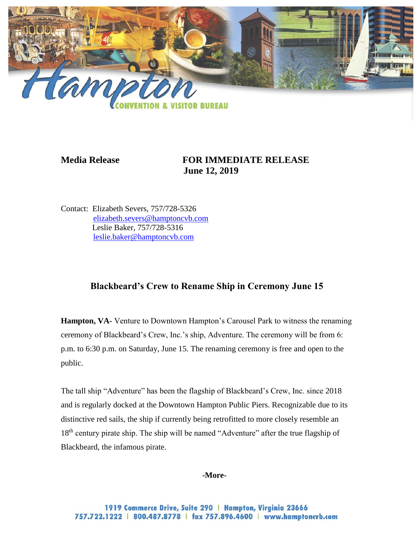

## **Media Release FOR IMMEDIATE RELEASE June 12, 2019**

Contact: Elizabeth Severs, 757/728-5326 [elizabeth.severs@hamptoncvb.com](mailto:elizabeth.severs@hamptoncvb.com) Leslie Baker, 757/728-5316 [leslie.baker@hamptoncvb.com](mailto:leslie.baker@hamptoncvb.com)

## **Blackbeard's Crew to Rename Ship in Ceremony June 15**

**Hampton, VA-** Venture to Downtown Hampton's Carousel Park to witness the renaming ceremony of Blackbeard's Crew, Inc.'s ship, Adventure. The ceremony will be from 6: p.m. to 6:30 p.m. on Saturday, June 15. The renaming ceremony is free and open to the public.

The tall ship "Adventure" has been the flagship of Blackbeard's Crew, Inc. since 2018 and is regularly docked at the Downtown Hampton Public Piers. Recognizable due to its distinctive red sails, the ship if currently being retrofitted to more closely resemble an 18<sup>th</sup> century pirate ship. The ship will be named "Adventure" after the true flagship of Blackbeard, the infamous pirate.

**-More-**

1919 Commerce Drive, Suite 290 | Hampton, Virginia 23666 757.722.1222 | 800.487.8778 | fax 757.896.4600 | www.hamptoncvb.com